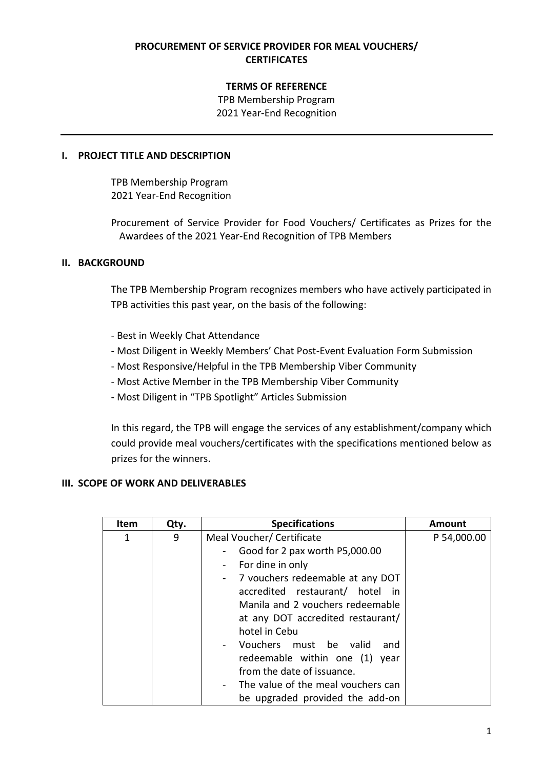# **PROCUREMENT OF SERVICE PROVIDER FOR MEAL VOUCHERS/ CERTIFICATES**

### **TERMS OF REFERENCE**

TPB Membership Program 2021 Year-End Recognition

#### **I. PROJECT TITLE AND DESCRIPTION**

TPB Membership Program 2021 Year-End Recognition

Procurement of Service Provider for Food Vouchers/ Certificates as Prizes for the Awardees of the 2021 Year-End Recognition of TPB Members

### **II. BACKGROUND**

The TPB Membership Program recognizes members who have actively participated in TPB activities this past year, on the basis of the following:

- Best in Weekly Chat Attendance
- Most Diligent in Weekly Members' Chat Post-Event Evaluation Form Submission
- Most Responsive/Helpful in the TPB Membership Viber Community
- Most Active Member in the TPB Membership Viber Community
- Most Diligent in "TPB Spotlight" Articles Submission

In this regard, the TPB will engage the services of any establishment/company which could provide meal vouchers/certificates with the specifications mentioned below as prizes for the winners.

### **III. SCOPE OF WORK AND DELIVERABLES**

| Item | Qty. | <b>Specifications</b>                | <b>Amount</b> |
|------|------|--------------------------------------|---------------|
| 1    | 9    | Meal Voucher/ Certificate            | P 54,000.00   |
|      |      | Good for 2 pax worth P5,000.00<br>-  |               |
|      |      | For dine in only<br>$\blacksquare$   |               |
|      |      | - 7 vouchers redeemable at any DOT   |               |
|      |      | accredited restaurant/ hotel in      |               |
|      |      | Manila and 2 youchers redeemable     |               |
|      |      | at any DOT accredited restaurant/    |               |
|      |      | hotel in Cebu                        |               |
|      |      | - Vouchers must be valid<br>and      |               |
|      |      | redeemable within one (1) year       |               |
|      |      | from the date of issuance.           |               |
|      |      | - The value of the meal vouchers can |               |
|      |      | be upgraded provided the add-on      |               |